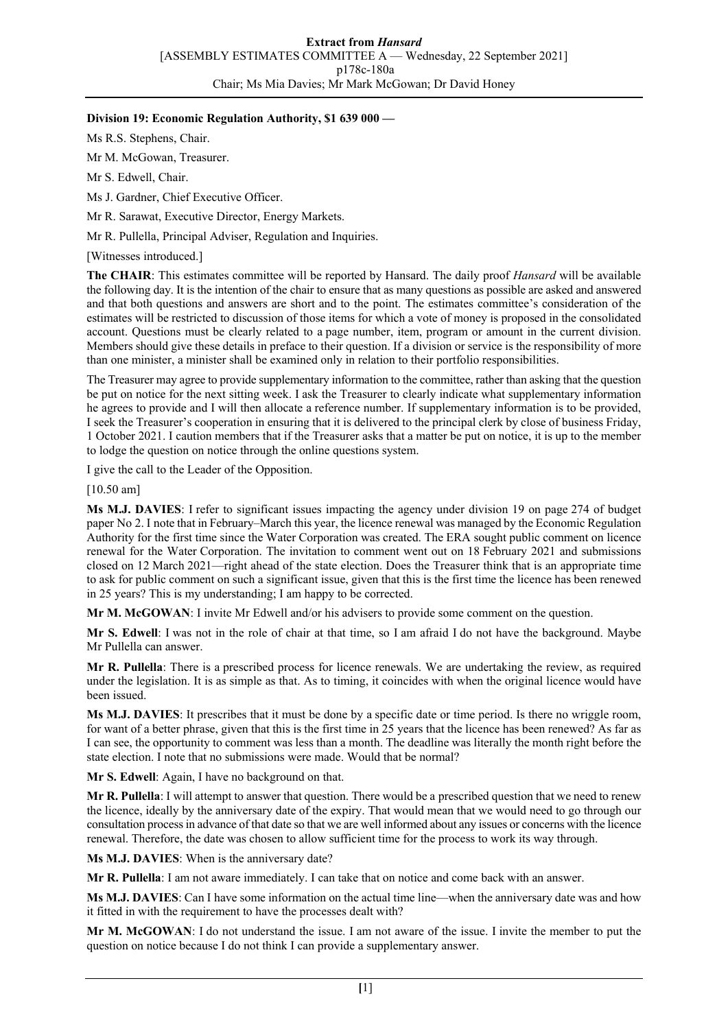## **Division 19: Economic Regulation Authority, \$1 639 000 —**

Ms R.S. Stephens, Chair.

Mr M. McGowan, Treasurer.

Mr S. Edwell, Chair.

Ms J. Gardner, Chief Executive Officer.

Mr R. Sarawat, Executive Director, Energy Markets.

Mr R. Pullella, Principal Adviser, Regulation and Inquiries.

[Witnesses introduced.]

**The CHAIR**: This estimates committee will be reported by Hansard. The daily proof *Hansard* will be available the following day. It is the intention of the chair to ensure that as many questions as possible are asked and answered and that both questions and answers are short and to the point. The estimates committee's consideration of the estimates will be restricted to discussion of those items for which a vote of money is proposed in the consolidated account. Questions must be clearly related to a page number, item, program or amount in the current division. Members should give these details in preface to their question. If a division or service is the responsibility of more than one minister, a minister shall be examined only in relation to their portfolio responsibilities.

The Treasurer may agree to provide supplementary information to the committee, rather than asking that the question be put on notice for the next sitting week. I ask the Treasurer to clearly indicate what supplementary information he agrees to provide and I will then allocate a reference number. If supplementary information is to be provided, I seek the Treasurer's cooperation in ensuring that it is delivered to the principal clerk by close of business Friday, 1 October 2021. I caution members that if the Treasurer asks that a matter be put on notice, it is up to the member to lodge the question on notice through the online questions system.

I give the call to the Leader of the Opposition.

[10.50 am]

**Ms M.J. DAVIES**: I refer to significant issues impacting the agency under division 19 on page 274 of budget paper No 2. I note that in February–March this year, the licence renewal was managed by the Economic Regulation Authority for the first time since the Water Corporation was created. The ERA sought public comment on licence renewal for the Water Corporation. The invitation to comment went out on 18 February 2021 and submissions closed on 12 March 2021—right ahead of the state election. Does the Treasurer think that is an appropriate time to ask for public comment on such a significant issue, given that this is the first time the licence has been renewed in 25 years? This is my understanding; I am happy to be corrected.

**Mr M. McGOWAN**: I invite Mr Edwell and/or his advisers to provide some comment on the question.

**Mr S. Edwell**: I was not in the role of chair at that time, so I am afraid I do not have the background. Maybe Mr Pullella can answer.

**Mr R. Pullella**: There is a prescribed process for licence renewals. We are undertaking the review, as required under the legislation. It is as simple as that. As to timing, it coincides with when the original licence would have been issued.

**Ms M.J. DAVIES**: It prescribes that it must be done by a specific date or time period. Is there no wriggle room, for want of a better phrase, given that this is the first time in 25 years that the licence has been renewed? As far as I can see, the opportunity to comment was less than a month. The deadline was literally the month right before the state election. I note that no submissions were made. Would that be normal?

**Mr S. Edwell**: Again, I have no background on that.

**Mr R. Pullella**: I will attempt to answer that question. There would be a prescribed question that we need to renew the licence, ideally by the anniversary date of the expiry. That would mean that we would need to go through our consultation process in advance of that date so that we are well informed about any issues or concerns with the licence renewal. Therefore, the date was chosen to allow sufficient time for the process to work its way through.

**Ms M.J. DAVIES**: When is the anniversary date?

**Mr R. Pullella**: I am not aware immediately. I can take that on notice and come back with an answer.

**Ms M.J. DAVIES**: Can I have some information on the actual time line—when the anniversary date was and how it fitted in with the requirement to have the processes dealt with?

**Mr M. McGOWAN**: I do not understand the issue. I am not aware of the issue. I invite the member to put the question on notice because I do not think I can provide a supplementary answer.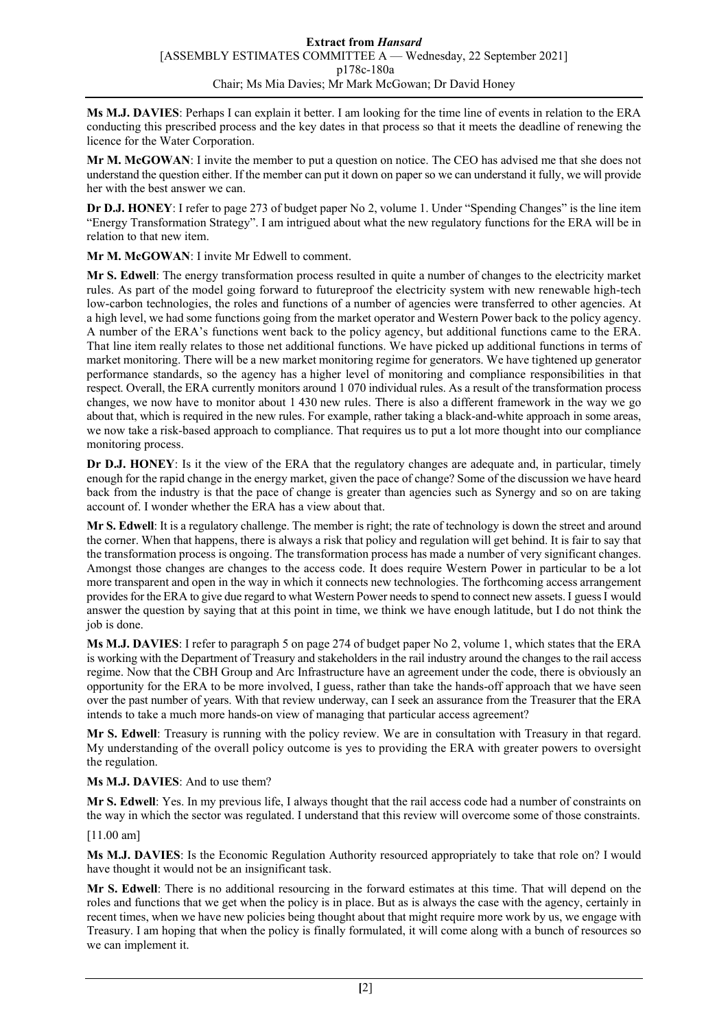**Ms M.J. DAVIES**: Perhaps I can explain it better. I am looking for the time line of events in relation to the ERA conducting this prescribed process and the key dates in that process so that it meets the deadline of renewing the licence for the Water Corporation.

**Mr M. McGOWAN**: I invite the member to put a question on notice. The CEO has advised me that she does not understand the question either. If the member can put it down on paper so we can understand it fully, we will provide her with the best answer we can.

**Dr D.J. HONEY**: I refer to page 273 of budget paper No 2, volume 1. Under "Spending Changes" is the line item "Energy Transformation Strategy". I am intrigued about what the new regulatory functions for the ERA will be in relation to that new item.

**Mr M. McGOWAN**: I invite Mr Edwell to comment.

**Mr S. Edwell**: The energy transformation process resulted in quite a number of changes to the electricity market rules. As part of the model going forward to futureproof the electricity system with new renewable high-tech low-carbon technologies, the roles and functions of a number of agencies were transferred to other agencies. At a high level, we had some functions going from the market operator and Western Power back to the policy agency. A number of the ERA's functions went back to the policy agency, but additional functions came to the ERA. That line item really relates to those net additional functions. We have picked up additional functions in terms of market monitoring. There will be a new market monitoring regime for generators. We have tightened up generator performance standards, so the agency has a higher level of monitoring and compliance responsibilities in that respect. Overall, the ERA currently monitors around 1 070 individual rules. As a result of the transformation process changes, we now have to monitor about 1 430 new rules. There is also a different framework in the way we go about that, which is required in the new rules. For example, rather taking a black-and-white approach in some areas, we now take a risk-based approach to compliance. That requires us to put a lot more thought into our compliance monitoring process.

**Dr D.J. HONEY**: Is it the view of the ERA that the regulatory changes are adequate and, in particular, timely enough for the rapid change in the energy market, given the pace of change? Some of the discussion we have heard back from the industry is that the pace of change is greater than agencies such as Synergy and so on are taking account of. I wonder whether the ERA has a view about that.

**Mr S. Edwell**: It is a regulatory challenge. The member is right; the rate of technology is down the street and around the corner. When that happens, there is always a risk that policy and regulation will get behind. It is fair to say that the transformation process is ongoing. The transformation process has made a number of very significant changes. Amongst those changes are changes to the access code. It does require Western Power in particular to be a lot more transparent and open in the way in which it connects new technologies. The forthcoming access arrangement provides for the ERA to give due regard to what Western Power needs to spend to connect new assets. I guessI would answer the question by saying that at this point in time, we think we have enough latitude, but I do not think the job is done.

**Ms M.J. DAVIES**: I refer to paragraph 5 on page 274 of budget paper No 2, volume 1, which states that the ERA is working with the Department of Treasury and stakeholders in the rail industry around the changes to the rail access regime. Now that the CBH Group and Arc Infrastructure have an agreement under the code, there is obviously an opportunity for the ERA to be more involved, I guess, rather than take the hands-off approach that we have seen over the past number of years. With that review underway, can I seek an assurance from the Treasurer that the ERA intends to take a much more hands-on view of managing that particular access agreement?

**Mr S. Edwell**: Treasury is running with the policy review. We are in consultation with Treasury in that regard. My understanding of the overall policy outcome is yes to providing the ERA with greater powers to oversight the regulation.

**Ms M.J. DAVIES**: And to use them?

**Mr S. Edwell**: Yes. In my previous life, I always thought that the rail access code had a number of constraints on the way in which the sector was regulated. I understand that this review will overcome some of those constraints.

[11.00 am]

**Ms M.J. DAVIES**: Is the Economic Regulation Authority resourced appropriately to take that role on? I would have thought it would not be an insignificant task.

**Mr S. Edwell**: There is no additional resourcing in the forward estimates at this time. That will depend on the roles and functions that we get when the policy is in place. But as is always the case with the agency, certainly in recent times, when we have new policies being thought about that might require more work by us, we engage with Treasury. I am hoping that when the policy is finally formulated, it will come along with a bunch of resources so we can implement it.